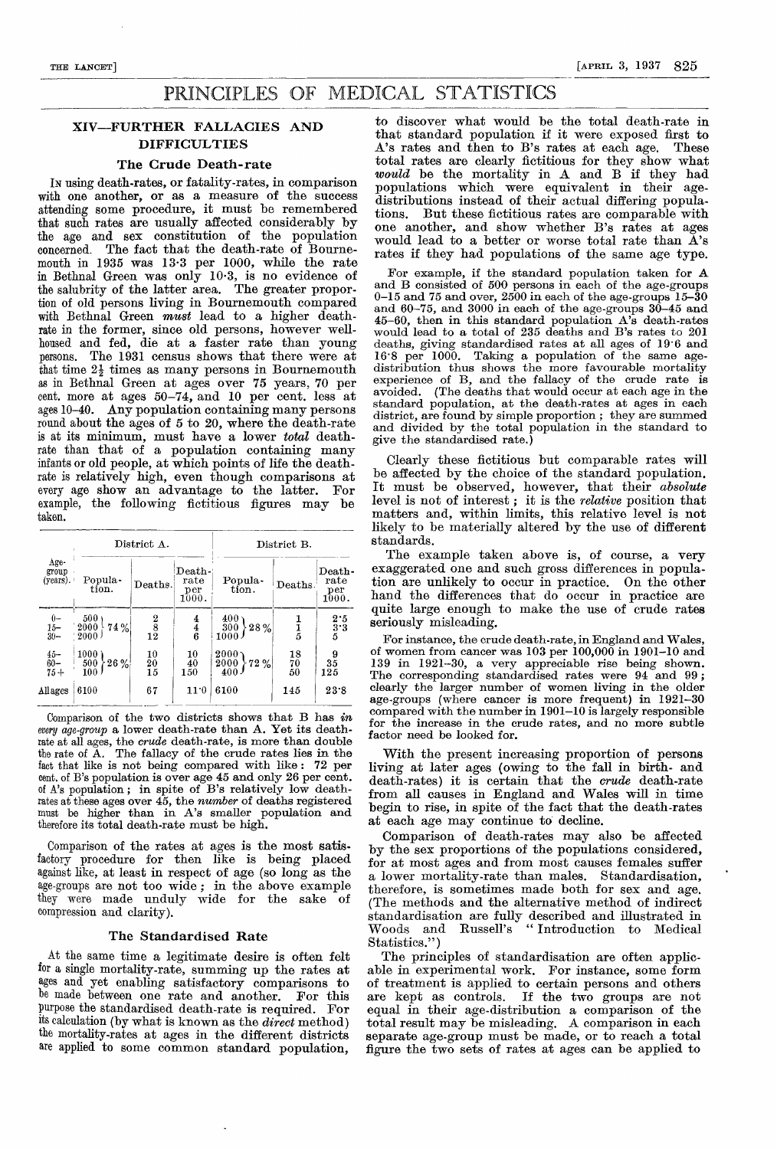# PRINCIPLES OF MEDICAL STATISTICS

# XIV—FURTHER FALLACIES AND DIFFICULTIES

### The Crude Death-rate

IN using death-rates, or fatality-rates, in comparison with one another, or as a measure of the success attending some procedure, it must be remembered that such rates are usually affected considerably by the age and sex constitution of the population concerned. The fact that the death-rate of Bournemouth in 1935 was 13-3 per 1000, while the rate in Bethnal Green was only 10-3, is no evidence of the salubrity of the latter area. The greater proportion of old persons living in Bournemouth compared with Bethnal Green must lead to a higher deathrate in the former, since old persons, however wellhoused and fed, die at a faster rate than young persons. The 1931 census shows that there were at that time  $2\frac{1}{2}$  times as many persons in Bournemouth as in Bethnal Green at ages over 75 years, 70 per cent. more at ages 50-74, and 10 per cent. less at ages 10-40. Any population containing many persons round about the ages of 5 to 20, where the death-rate is at its minimum, must have a lower total deathrate than that of a population containing many infants or old people, at which points of life the deathrate is relatively high, even though comparisons at every age show an advantage to the latter. For example, the following fictitious figures may be taken.

| Age-<br>group<br>$(years).$ | District A.                             |                                                  |                                            | District B.                                          |                                               |                                                             |
|-----------------------------|-----------------------------------------|--------------------------------------------------|--------------------------------------------|------------------------------------------------------|-----------------------------------------------|-------------------------------------------------------------|
|                             | Popula-<br>tion.                        | Deaths.                                          | Death-<br>$_\mathrm{rate}$<br>per<br>1000. | Popula-<br>tion.                                     | Deaths.                                       | Death-<br>$_{\rm rate}$<br>per<br>1000.                     |
| $0-$<br>$15 -$<br>$30 -$    | 500 <sub>1</sub><br>74%<br>2000<br>2000 | $\begin{smallmatrix} 2\ 8\ 12 \end{smallmatrix}$ | $\frac{4}{6}$                              | 400 <sub>1</sub><br>28%<br>300<br>$1000$ .           |                                               | $\begin{smallmatrix} 2\cdot5\ 3\cdot3\ 5 \end{smallmatrix}$ |
| $^{45-}_{60-}$<br>$75 +$    | $1000$ )<br>$26\%$<br>500<br>$100$ .    | $\frac{10}{20}$<br>15                            | 10<br>40<br>150                            | $2000 \lambda$<br>$-72%$<br>2000<br>400 <sup>1</sup> | $\begin{array}{c} 18 \\ 70 \\ 50 \end{array}$ | 9<br>35<br>125                                              |
| Allages                     | 6100                                    | 67                                               | 11.0                                       | 6100                                                 | 145                                           | 23.8                                                        |

Comparison of the two districts shows that B has in every age-group a lower death-rate than A. Yet its deathrate at all ages, the crude death-rate, is more than double the rate of A. The fallacy of the crude rates lies in the fact that like is not being compared with like : 72 per cent. of B's population is over age 45 and only 26 per cent. of A's population; in spite of B's relatively low deathrates at these ages over  $45$ , the number of deaths registered must be higher than in A's smaller population and therefore its total death-rate must be high.

Comparison of the rates at ages is the most satisfactory procedure for then like is being placed against like, at least in respect of age (so long as the age-groups are not too wide ; in the above example they were made unduly wide for the sake of compression and clarity).

#### The Standardised Rate

At the same time a legitimate desire is often felt for a single mortality-rate, summing up the rates at ages and yet enabling satisfactory comparisons to be made between one rate and another. For this purpose the standardised death-rate is required. For its calculation (by what is known as the *direct* method) the mortality-rates at ages in the different districts are applied to some common standard population,

to discover what would be the total death-rate in that standard population if it were exposed first to  $A$ 's rates and then to B's rates at each age. total rates are clearly fictitious for they show what would be the mortality in A and B if they had populations which were equivalent in their agedistributions instead of their actual differing populations. But these fictitious rates are comparable with one another, and show whether B's rates at ages would lead to a better or worse total rate than A's rates if they had populations of the same age type.

For example, if the standard population taken for A and B consisted of 500 persons in each of the age-groups  $0-15$  and  $75$  and over,  $2500$  in each of the age-groups  $15-30$ and 60-75, and 3000 in each of the age-groups 30-45 and 45-60, then in this standard population A's death-rates would lead to a total of 235 deaths and B's rates to 201 deaths, giving standardised rates at all ages of 19-6 and 16'8 per 1000. Taking a population of the same agedistribution thus shows the more favourable mortality experience of B, and the fallacy of the crude rate is<br>avoided. (The deaths that would occur at each age in the avoided. (The deaths that would occur at each age in the standard population, at the death-rates at ages in each district, are found by simple proportion ; they are summed and divided by the total population in the standard to give the standardised rate.)

Clearly these fictitious but comparable rates will be affected by the choice of the standard population. It must be observed, however, that their absolute level is not of interest ; it is the relative position that matters and, within limits, this relative level is not likely to be materially altered by the use of different standards.

The example taken above is, of course, a very exaggerated one and such gross differences in population are unlikely to occur in practice. On the other hand the differences that do occur in practice are quite large enough to make the use of crude rates seriously misleading.

For instance, the crude death-rate, in England and Wales, of women from cancer was 103 per 100,000 in 1901-10 and 139 in 1921-30, a very appreciable rise being shown. The corresponding standardised rates were 94 and 99; clearly the larger number of women living in the older age-groups (where cancer is more frequent) in 1921-30 compared with the number in 1901-10 is largely responsible for the increase in the crude rates, and no more subtle factor need be looked for.

With the present increasing proportion of persons living at later ages (owing to the fall in birth- and death-rates) it is certain that the crude death-rate from all causes in England and Wales will in time begin to rise, in spite of the fact that the death-rates at each age may continue to decline.

Comparison of death-rates may also be affected by the sex proportions of the populations considered, for at most ages and from most causes females suffer a lower mortality-rate than males. Standardisation, therefore, is sometimes made both for sex and age. (The methods and the alternative method of indirect standardisation are fully described and illustrated in "Introduction to Medical

Statistics." ) The principles of standardisation are often applicable in experimental work. For instance, some form of treatment is applied to certain persons and others are kept as controls. If the two groups are not equal in their age-distribution a comparison of the total result may be misleading. A comparison in each separate age-group must be made, or to reach a total figure the two sets of rates at ages can be applied to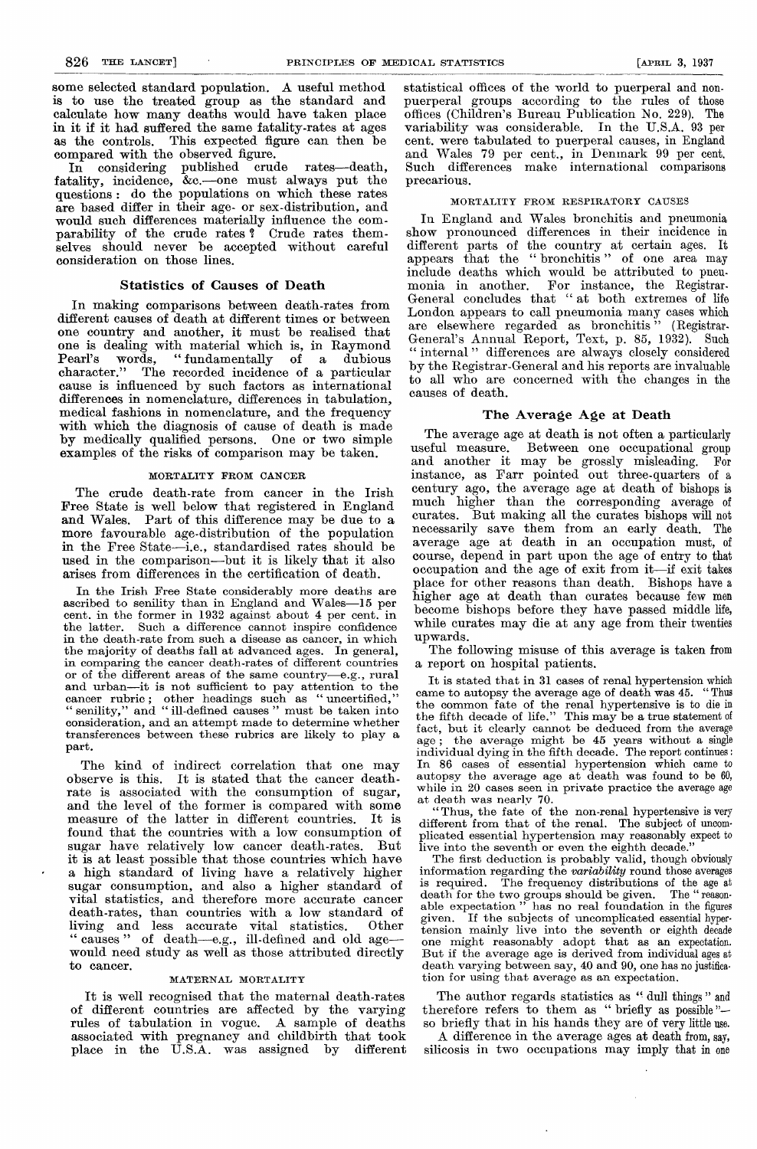some selected standard population. A useful method is to use the treated group as the standard and calculate how many deaths would have taken place<br>in it if it had suffered the same fatality-rates at ages as the controls. This expected figure can then be compared with the observed figure.

In considering published crude rates-death, fatality, incidence, &c.-one must always put the questions : do the populations on which these rates are based differ in their age- or sex-distribution, and would such differences materially influence the comparability of the crude rates? Crude rates themselves should never be accepted without careful consideration on those lines.

#### Statistics of Causes of Death

In making comparisons between death-rates from different causes of death at different times or between one country and another, it must be realised that one is dealing with material which is, in Raymond Pearl's words, " fundamentally of a dubious character." The recorded incidence of a particular cause is influenced by such factors as international differences in nomenclature, differences in tabulation, medical fashions in nomenclature, and the frequency with which the diagnosis of cause of death is made by medically qualified persons. One or two simple examples of the risks of comparison may be taken.

#### MORTALITY FROM CANCER

The crude death-rate from cancer in the Irish Free State is well below that registered in England and Wales. Part of this difference may be due to a more favourable age-distribution of the population in the Free State-i.e., standardised rates should be used in the comparison-but it is likely that it also arises from differences in the certification of death.

In the Irish Free State considerably more deaths are ascribed to senility than in England and Wales-15 per cent. in the former in 1932 against about 4 per cent. in the latter. Such a difference cannot inspire confidence in the death-rate from such a disease as cancer, in which the majority of deaths fall at advanced ages. In general, in comparing the cancer death-rates of different countries or of the different areas of the same country-e.g., rural and urban-it is not sufficient to pay attention to the cancer rubric; other headings such as " uncertified," " senility," and " ill-defined causes " must be taken into consideration, and an attempt made to determine whether transferences between these rubrics are likely to play a part.

The kind of indirect correlation that one may observe is this. It is stated that the cancer deathrate is associated with the consumption of sugar, and the level of the former is compared with some measure of the latter in different countries. It is found that the countries with a low consumption of sugar have relatively low cancer death-rates. But sugar have relatively low cancer death-rates. it is at least possible that those countries which have a high standard of living have a relatively higher sugar consumption, and also a higher standard of vital statistics, and therefore more accurate cancer death-rates, than countries with a low standard of living and less accurate vital statistics. Other " causes " of death-e.g., ill-defined and old agewould need study as well as those attributed directly to cancer.

#### MATERNAL MORTALITY

It is well recognised that the maternal death-rates of different countries are affected by the varying rules of tabulation in vogue. A sample of deaths associated with pregnancy and childbirth that took place in the U.S.A. was assigned by different

statistical offices of the world to puerperal and non. puerperal groups according to the rules of those<br>offices (Children's Bureau Publication No. 229). The offices (Children's Bureau Publication No. 229). variability was considerable. In the U.S.A. 93 per cent. were tabulated to puerperal causes, in England and Wales 79 per cent., in Denmark 99 per cent. Such differences make international comparisons precarious.

## MORTALITY FROM RESPIRATORY CAUSES

In England and Wales bronchitis and pneumonia show pronounced differences in their incidence in different parts of the country at certain ages. It appears that the " bronchitis" of one area may include deaths which would be attributed to pneu. monia in another. For instance, the Registrar-General concludes that " at both extremes of life London appears to call pneumonia many cases which are elsewhere regarded as bronchitis" (Registrar. General's Annual Report, Text, p. 85, 1932). Such " internal" differences are always closely considered by the Registrar-General and his reports are invaluable to all who are concerned with the changes in the causes of death.

### The Average Age at Death

The average age at death is not often a particularly useful measure. Between one occupational group and another it may be grossly misleading. For instance, as Farr pointed out three-quarters of a century ago, the average age at death of bishops is much higher than the corresponding average of curates. But making all the curates bishops will not necessarily save them from an early death. The average age at death in an occupation must, of course, depend in part upon the age of entry to that occupation and the age of exit from it-if exit takes place for other reasons than death. Bishops have a higher age at death than curates because few men become bishops before they have passed middle life, while curates may die at any age from their twenties upwards.

The following misuse of this average is taken from a report on hospital patients.

It is stated that in 31 cases of renal hypertension which<br>me to autopsy the average age of death was 45. "Thus came to autopsy the average age of death was 45. the common fate of the renal hypertensive is to die in the fifth decade of life." This may be a true statement of fact, but it clearly cannot be deduced from the average age ; the average might be 45 years without a single individual dying in the fifth decade. The report continues: In 86 cases of essential hypertension which came to autopsy the average age at death was found to be 60, while in 20 cases seen in private practice the average age while in 20 cases seen in private practice the average age at death was nearly 70.

"Thus, the fate of the non-renal hypertensive is very different from that of the renal. The subject of uncomplicated essential hypertension may reasonably expect to live into the seventh or even the eighth decade." live into the seventh or even the eighth decade."

The first deduction is probably valid, though obviously information regarding the *variability* round those averages is required. The frequency distributions of the age at death for the two groups should be given. The " reasonable expectation " has no real foundation in the figures able expectation " has no real foundation in the figures given. If the subjects of uncomplicated essential hypertension mainly live into the seventh or eighth decade one might reasonably adopt that as an expectation. But if the average age is derived from individual ages at death varying between say, 40 and 90, one has no justification for using that average as an expectation.

The author regards statistics as " dull things" and therefore refers to them as "briefly as possible"so briefly that in his hands they are of very little use.

A difference in the average ages at death from, say, silicosis in two occupations may imply that in one